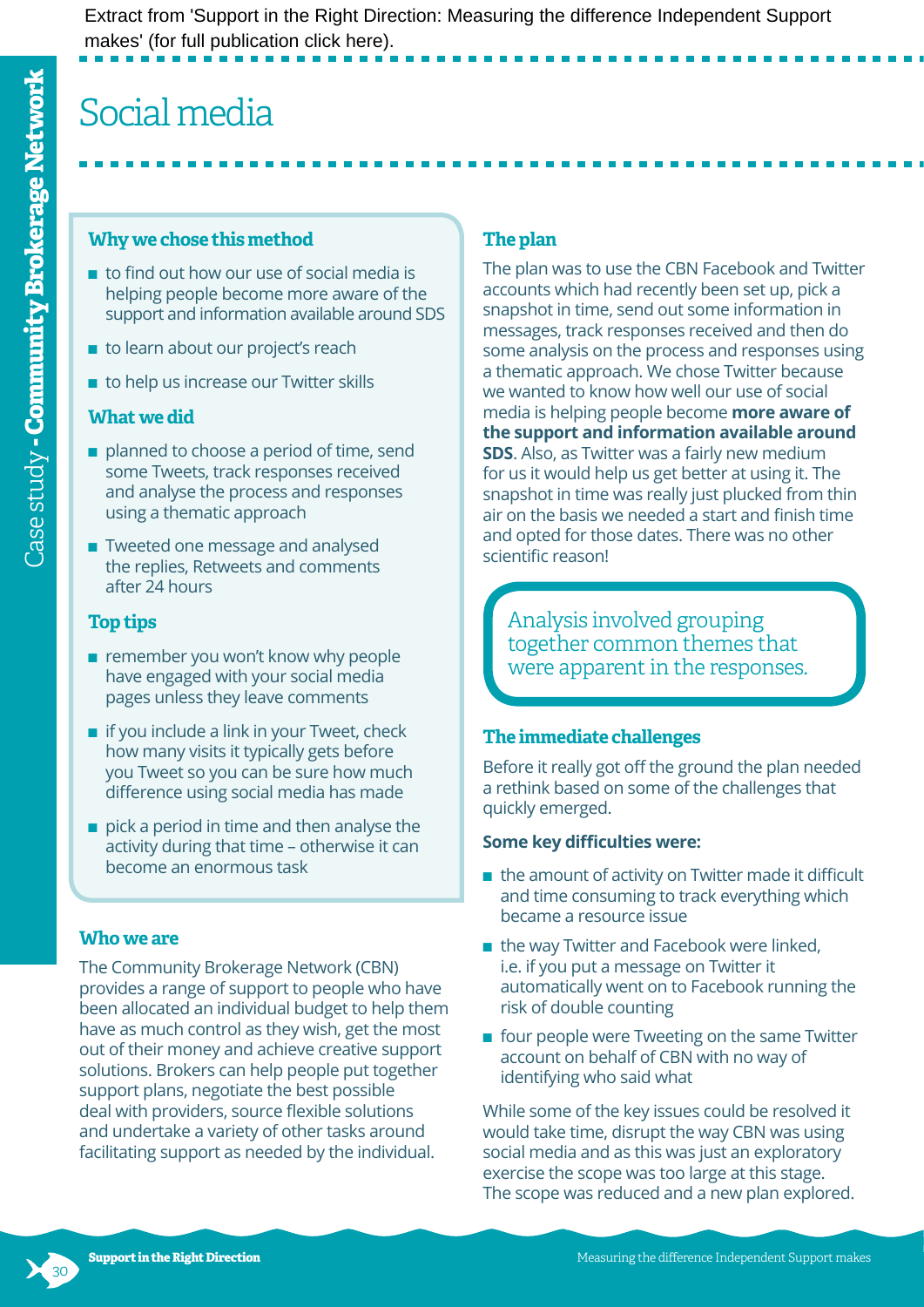# Social media

### **Why we chose this method**

- to find out how our use of social media is helping people become more aware of the support and information available around SDS
- to learn about our project's reach
- to help us increase our Twitter skills

## **What we did**

- planned to choose a period of time, send some Tweets, track responses received and analyse the process and responses using a thematic approach
- Tweeted one message and analysed the replies, Retweets and comments after 24 hours

# **Top tips**

- remember you won't know why people have engaged with your social media pages unless they leave comments
- $\blacksquare$  if you include a link in your Tweet, check how many visits it typically gets before you Tweet so you can be sure how much difference using social media has made
- $\blacksquare$  pick a period in time and then analyse the activity during that time – otherwise it can become an enormous task

## **Who we are**

The Community Brokerage Network (CBN) provides a range of support to people who have been allocated an individual budget to help them have as much control as they wish, get the most out of their money and achieve creative support solutions. Brokers can help people put together support plans, negotiate the best possible deal with providers, source flexible solutions and undertake a variety of other tasks around facilitating support as needed by the individual.

# **The plan**

The plan was to use the CBN Facebook and Twitter accounts which had recently been set up, pick a snapshot in time, send out some information in messages, track responses received and then do some analysis on the process and responses using a thematic approach. We chose Twitter because we wanted to know how well our use of social media is helping people become **more aware of the support and information available around SDS**. Also, as Twitter was a fairly new medium for us it would help us get better at using it. The snapshot in time was really just plucked from thin air on the basis we needed a start and finish time and opted for those dates. There was no other scientific reason!

Analysis involved grouping together common themes that were apparent in the responses.

# **The immediate challenges**

Before it really got off the ground the plan needed a rethink based on some of the challenges that quickly emerged.

## **Some key difficulties were:**

- the amount of activity on Twitter made it difficult and time consuming to track everything which became a resource issue
- the way Twitter and Facebook were linked, i.e. if you put a message on Twitter it automatically went on to Facebook running the risk of double counting
- four people were Tweeting on the same Twitter account on behalf of CBN with no way of identifying who said what

While some of the key issues could be resolved it would take time, disrupt the way CBN was using social media and as this was just an exploratory exercise the scope was too large at this stage. The scope was reduced and a new plan explored.